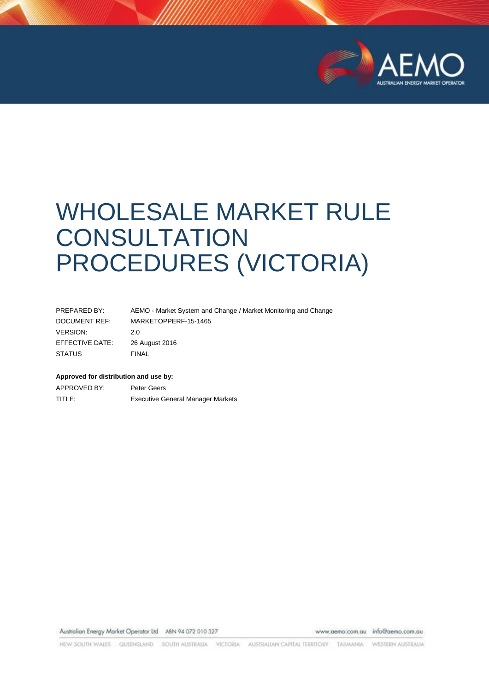

# WHOLESALE MARKET RULE **CONSULTATION** PROCEDURES (VICTORIA)

| PREPARED BY:    | AEMO - Market System and Change / Market Monitoring and Change |
|-----------------|----------------------------------------------------------------|
| DOCUMENT REF:   | MARKETOPPERF-15-1465                                           |
| <b>VERSION:</b> | 2.0                                                            |
| EFFECTIVE DATE: | 26 August 2016                                                 |
| <b>STATUS</b>   | <b>FINAL</b>                                                   |

#### **Approved for distribution and use by:**

APPROVED BY: Peter Geers TITLE: Executive General Manager Markets

Australian Energy Market Operator Ltd ABN 94 072 010 327

www.aemo.com.au info@aemo.com.au

NEW SOUTH WALES QUEENSLAND SOUTH AUSTRALIA VICTORIA AUSTRALIAN CAPITAL TERRITORY TASMANIA WESTERN AUSTRALIA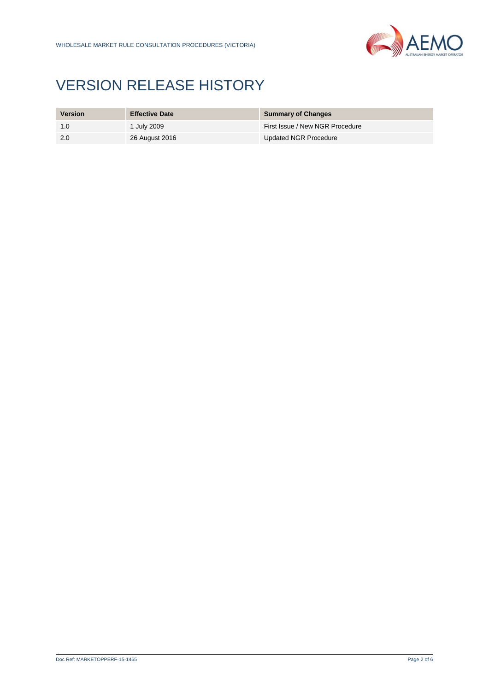

# VERSION RELEASE HISTORY

| <b>Version</b> | <b>Effective Date</b> | <b>Summary of Changes</b>       |
|----------------|-----------------------|---------------------------------|
| 1.0            | 1 July 2009           | First Issue / New NGR Procedure |
| 2.0            | 26 August 2016        | <b>Updated NGR Procedure</b>    |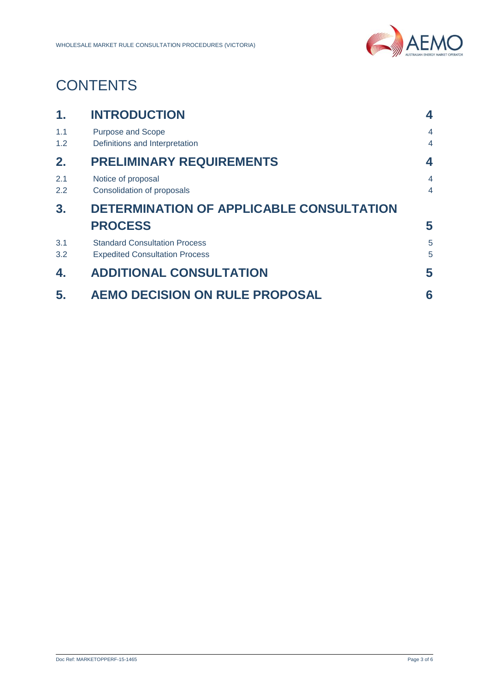

# **CONTENTS**

| $\mathbf 1$ . | <b>INTRODUCTION</b>                                                           | 4                                |  |
|---------------|-------------------------------------------------------------------------------|----------------------------------|--|
| 1.1<br>1.2    | <b>Purpose and Scope</b><br>Definitions and Interpretation                    | 4<br>$\overline{4}$              |  |
| 2.            | <b>PRELIMINARY REQUIREMENTS</b>                                               | 4                                |  |
| 2.1<br>2.2    | Notice of proposal<br>Consolidation of proposals                              | $\overline{4}$<br>$\overline{4}$ |  |
| 3.            | DETERMINATION OF APPLICABLE CONSULTATION                                      |                                  |  |
|               | <b>PROCESS</b>                                                                | 5                                |  |
| 3.1<br>3.2    | <b>Standard Consultation Process</b><br><b>Expedited Consultation Process</b> | 5<br>5                           |  |
| 4.            | <b>ADDITIONAL CONSULTATION</b>                                                | 5                                |  |
| 5.            | <b>AEMO DECISION ON RULE PROPOSAL</b>                                         | 6                                |  |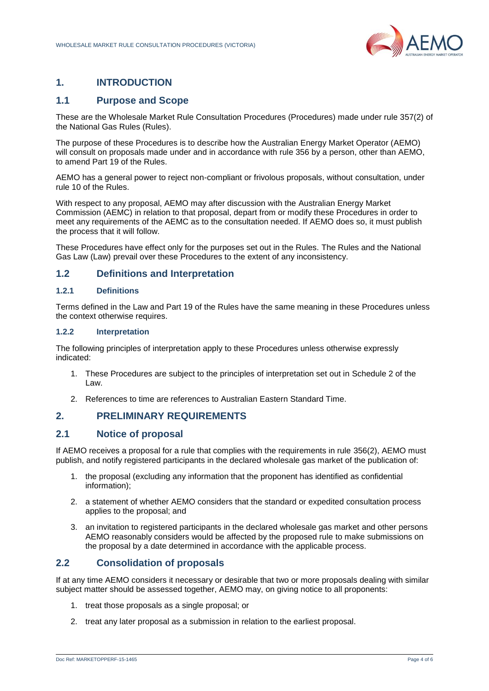

## <span id="page-3-0"></span>**1. INTRODUCTION**

#### <span id="page-3-1"></span>**1.1 Purpose and Scope**

These are the Wholesale Market Rule Consultation Procedures (Procedures) made under rule 357(2) of the National Gas Rules (Rules).

The purpose of these Procedures is to describe how the Australian Energy Market Operator (AEMO) will consult on proposals made under and in accordance with rule 356 by a person, other than AEMO, to amend Part 19 of the Rules.

AEMO has a general power to reject non-compliant or frivolous proposals, without consultation, under rule 10 of the Rules.

With respect to any proposal, AEMO may after discussion with the Australian Energy Market Commission (AEMC) in relation to that proposal, depart from or modify these Procedures in order to meet any requirements of the AEMC as to the consultation needed. If AEMO does so, it must publish the process that it will follow.

These Procedures have effect only for the purposes set out in the Rules. The Rules and the National Gas Law (Law) prevail over these Procedures to the extent of any inconsistency.

#### <span id="page-3-2"></span>**1.2 Definitions and Interpretation**

#### **1.2.1 Definitions**

Terms defined in the Law and Part 19 of the Rules have the same meaning in these Procedures unless the context otherwise requires.

#### **1.2.2 Interpretation**

The following principles of interpretation apply to these Procedures unless otherwise expressly indicated:

- 1. These Procedures are subject to the principles of interpretation set out in Schedule 2 of the Law.
- 2. References to time are references to Australian Eastern Standard Time.

#### <span id="page-3-3"></span>**2. PRELIMINARY REQUIREMENTS**

#### <span id="page-3-4"></span>**2.1 Notice of proposal**

If AEMO receives a proposal for a rule that complies with the requirements in rule 356(2), AEMO must publish, and notify registered participants in the declared wholesale gas market of the publication of:

- 1. the proposal (excluding any information that the proponent has identified as confidential information);
- 2. a statement of whether AEMO considers that the standard or expedited consultation process applies to the proposal; and
- 3. an invitation to registered participants in the declared wholesale gas market and other persons AEMO reasonably considers would be affected by the proposed rule to make submissions on the proposal by a date determined in accordance with the applicable process.

#### <span id="page-3-5"></span>**2.2 Consolidation of proposals**

If at any time AEMO considers it necessary or desirable that two or more proposals dealing with similar subject matter should be assessed together, AEMO may, on giving notice to all proponents:

- 1. treat those proposals as a single proposal; or
- 2. treat any later proposal as a submission in relation to the earliest proposal.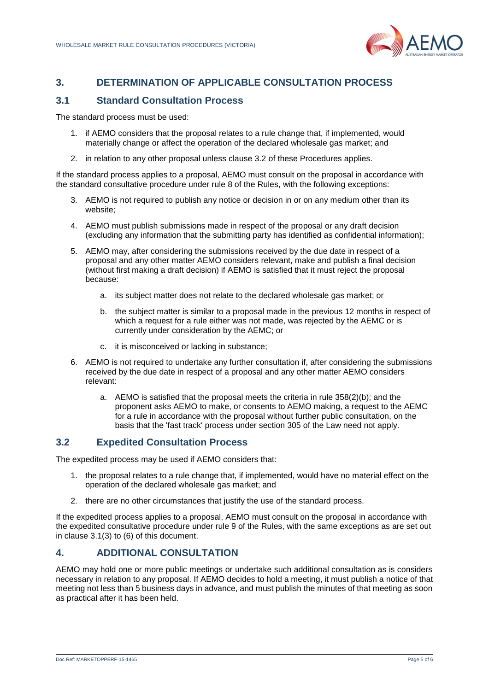

### <span id="page-4-0"></span>**3. DETERMINATION OF APPLICABLE CONSULTATION PROCESS**

#### <span id="page-4-1"></span>**3.1 Standard Consultation Process**

The standard process must be used:

- 1. if AEMO considers that the proposal relates to a rule change that, if implemented, would materially change or affect the operation of the declared wholesale gas market; and
- 2. in relation to any other proposal unless clause 3.2 of these Procedures applies.

If the standard process applies to a proposal, AEMO must consult on the proposal in accordance with the standard consultative procedure under rule 8 of the Rules, with the following exceptions:

- 3. AEMO is not required to publish any notice or decision in or on any medium other than its website;
- 4. AEMO must publish submissions made in respect of the proposal or any draft decision (excluding any information that the submitting party has identified as confidential information);
- 5. AEMO may, after considering the submissions received by the due date in respect of a proposal and any other matter AEMO considers relevant, make and publish a final decision (without first making a draft decision) if AEMO is satisfied that it must reject the proposal because:
	- a. its subject matter does not relate to the declared wholesale gas market; or
	- b. the subject matter is similar to a proposal made in the previous 12 months in respect of which a request for a rule either was not made, was rejected by the AEMC or is currently under consideration by the AEMC; or
	- c. it is misconceived or lacking in substance;
- 6. AEMO is not required to undertake any further consultation if, after considering the submissions received by the due date in respect of a proposal and any other matter AEMO considers relevant:
	- a. AEMO is satisfied that the proposal meets the criteria in rule 358(2)(b); and the proponent asks AEMO to make, or consents to AEMO making, a request to the AEMC for a rule in accordance with the proposal without further public consultation, on the basis that the 'fast track' process under section 305 of the Law need not apply.

#### <span id="page-4-2"></span>**3.2 Expedited Consultation Process**

The expedited process may be used if AEMO considers that:

- 1. the proposal relates to a rule change that, if implemented, would have no material effect on the operation of the declared wholesale gas market; and
- 2. there are no other circumstances that justify the use of the standard process.

If the expedited process applies to a proposal, AEMO must consult on the proposal in accordance with the expedited consultative procedure under rule 9 of the Rules, with the same exceptions as are set out in clause 3.1(3) to (6) of this document.

#### <span id="page-4-3"></span>**4. ADDITIONAL CONSULTATION**

AEMO may hold one or more public meetings or undertake such additional consultation as is considers necessary in relation to any proposal. If AEMO decides to hold a meeting, it must publish a notice of that meeting not less than 5 business days in advance, and must publish the minutes of that meeting as soon as practical after it has been held.